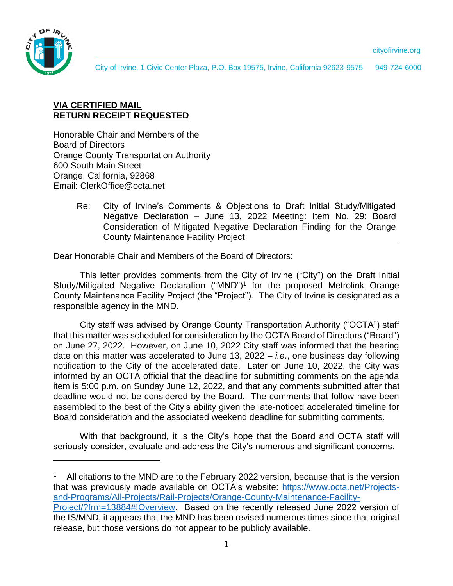

City of Irvine, 1 Civic Center Plaza, P.O. Box 19575, Irvine, California 92623-9575 949-724-6000

# **VIA CERTIFIED MAIL RETURN RECEIPT REQUESTED**

Honorable Chair and Members of the Board of Directors Orange County Transportation Authority 600 South Main Street Orange, California, 92868 Email: ClerkOffice@octa.net

> Re: City of Irvine's Comments & Objections to Draft Initial Study/Mitigated Negative Declaration – June 13, 2022 Meeting: Item No. 29: Board Consideration of Mitigated Negative Declaration Finding for the Orange County Maintenance Facility Project

Dear Honorable Chair and Members of the Board of Directors:

This letter provides comments from the City of Irvine ("City") on the Draft Initial Study/Mitigated Negative Declaration ("MND")<sup>1</sup> for the proposed Metrolink Orange County Maintenance Facility Project (the "Project"). The City of Irvine is designated as a responsible agency in the MND.

City staff was advised by Orange County Transportation Authority ("OCTA") staff that this matter was scheduled for consideration by the OCTA Board of Directors ("Board") on June 27, 2022. However, on June 10, 2022 City staff was informed that the hearing date on this matter was accelerated to June 13, 2022 – *i.e*., one business day following notification to the City of the accelerated date. Later on June 10, 2022, the City was informed by an OCTA official that the deadline for submitting comments on the agenda item is 5:00 p.m. on Sunday June 12, 2022, and that any comments submitted after that deadline would not be considered by the Board. The comments that follow have been assembled to the best of the City's ability given the late-noticed accelerated timeline for Board consideration and the associated weekend deadline for submitting comments.

With that background, it is the City's hope that the Board and OCTA staff will seriously consider, evaluate and address the City's numerous and significant concerns.

All citations to the MND are to the February 2022 version, because that is the version that was previously made available on OCTA's website: [https://www.octa.net/Projects](https://www.octa.net/Projects-and-Programs/All-Projects/Rail-Projects/Orange-County-Maintenance-Facility-Project/?frm=13884#!Overview)[and-Programs/All-Projects/Rail-Projects/Orange-County-Maintenance-Facility-](https://www.octa.net/Projects-and-Programs/All-Projects/Rail-Projects/Orange-County-Maintenance-Facility-Project/?frm=13884#!Overview)[Project/?frm=13884#!Overview.](https://www.octa.net/Projects-and-Programs/All-Projects/Rail-Projects/Orange-County-Maintenance-Facility-Project/?frm=13884#!Overview) Based on the recently released June 2022 version of the IS/MND, it appears that the MND has been revised numerous times since that original release, but those versions do not appear to be publicly available.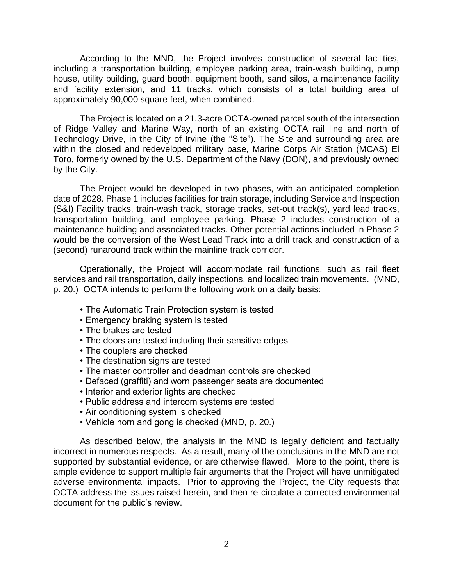According to the MND, the Project involves construction of several facilities, including a transportation building, employee parking area, train-wash building, pump house, utility building, guard booth, equipment booth, sand silos, a maintenance facility and facility extension, and 11 tracks, which consists of a total building area of approximately 90,000 square feet, when combined.

The Project is located on a 21.3-acre OCTA-owned parcel south of the intersection of Ridge Valley and Marine Way, north of an existing OCTA rail line and north of Technology Drive, in the City of Irvine (the "Site"). The Site and surrounding area are within the closed and redeveloped military base, Marine Corps Air Station (MCAS) El Toro, formerly owned by the U.S. Department of the Navy (DON), and previously owned by the City.

The Project would be developed in two phases, with an anticipated completion date of 2028. Phase 1 includes facilities for train storage, including Service and Inspection (S&I) Facility tracks, train-wash track, storage tracks, set-out track(s), yard lead tracks, transportation building, and employee parking. Phase 2 includes construction of a maintenance building and associated tracks. Other potential actions included in Phase 2 would be the conversion of the West Lead Track into a drill track and construction of a (second) runaround track within the mainline track corridor.

Operationally, the Project will accommodate rail functions, such as rail fleet services and rail transportation, daily inspections, and localized train movements. (MND, p. 20.) OCTA intends to perform the following work on a daily basis:

- The Automatic Train Protection system is tested
- Emergency braking system is tested
- The brakes are tested
- The doors are tested including their sensitive edges
- The couplers are checked
- The destination signs are tested
- The master controller and deadman controls are checked
- Defaced (graffiti) and worn passenger seats are documented
- Interior and exterior lights are checked
- Public address and intercom systems are tested
- Air conditioning system is checked
- Vehicle horn and gong is checked (MND, p. 20.)

As described below, the analysis in the MND is legally deficient and factually incorrect in numerous respects. As a result, many of the conclusions in the MND are not supported by substantial evidence, or are otherwise flawed. More to the point, there is ample evidence to support multiple fair arguments that the Project will have unmitigated adverse environmental impacts. Prior to approving the Project, the City requests that OCTA address the issues raised herein, and then re-circulate a corrected environmental document for the public's review.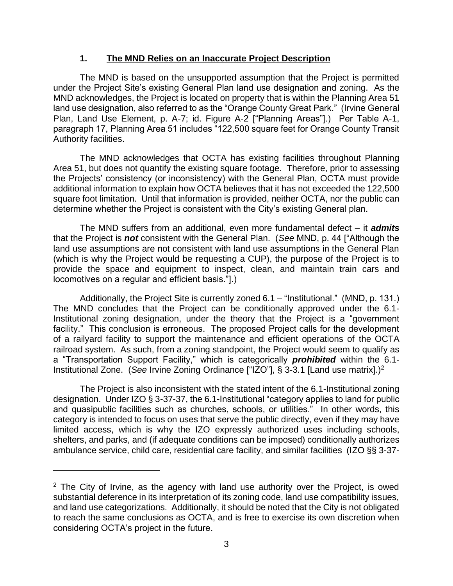## **1. The MND Relies on an Inaccurate Project Description**

The MND is based on the unsupported assumption that the Project is permitted under the Project Site's existing General Plan land use designation and zoning. As the MND acknowledges, the Project is located on property that is within the Planning Area 51 land use designation, also referred to as the "Orange County Great Park." (Irvine General Plan, Land Use Element, p. A-7; id. Figure A-2 ["Planning Areas"].) Per Table A-1, paragraph 17, Planning Area 51 includes "122,500 square feet for Orange County Transit Authority facilities.

The MND acknowledges that OCTA has existing facilities throughout Planning Area 51, but does not quantify the existing square footage. Therefore, prior to assessing the Projects' consistency (or inconsistency) with the General Plan, OCTA must provide additional information to explain how OCTA believes that it has not exceeded the 122,500 square foot limitation. Until that information is provided, neither OCTA, nor the public can determine whether the Project is consistent with the City's existing General plan.

The MND suffers from an additional, even more fundamental defect – it *admits* that the Project is *not* consistent with the General Plan. (*See* MND, p. 44 ["Although the land use assumptions are not consistent with land use assumptions in the General Plan (which is why the Project would be requesting a CUP), the purpose of the Project is to provide the space and equipment to inspect, clean, and maintain train cars and locomotives on a regular and efficient basis."].)

Additionally, the Project Site is currently zoned 6.1 – "Institutional." (MND, p. 131.) The MND concludes that the Project can be conditionally approved under the 6.1- Institutional zoning designation, under the theory that the Project is a "government facility." This conclusion is erroneous. The proposed Project calls for the development of a railyard facility to support the maintenance and efficient operations of the OCTA railroad system. As such, from a zoning standpoint, the Project would seem to qualify as a "Transportation Support Facility," which is categorically *prohibited* within the 6.1- Institutional Zone. (*See* Irvine Zoning Ordinance ["IZO"], § 3-3.1 [Land use matrix].)<sup>2</sup>

The Project is also inconsistent with the stated intent of the 6.1-Institutional zoning designation. Under IZO § 3-37-37, the 6.1-Institutional "category applies to land for public and quasipublic facilities such as churches, schools, or utilities." In other words, this category is intended to focus on uses that serve the public directly, even if they may have limited access, which is why the IZO expressly authorized uses including schools, shelters, and parks, and (if adequate conditions can be imposed) conditionally authorizes ambulance service, child care, residential care facility, and similar facilities (IZO §§ 3-37-

 $2$  The City of Irvine, as the agency with land use authority over the Project, is owed substantial deference in its interpretation of its zoning code, land use compatibility issues, and land use categorizations. Additionally, it should be noted that the City is not obligated to reach the same conclusions as OCTA, and is free to exercise its own discretion when considering OCTA's project in the future.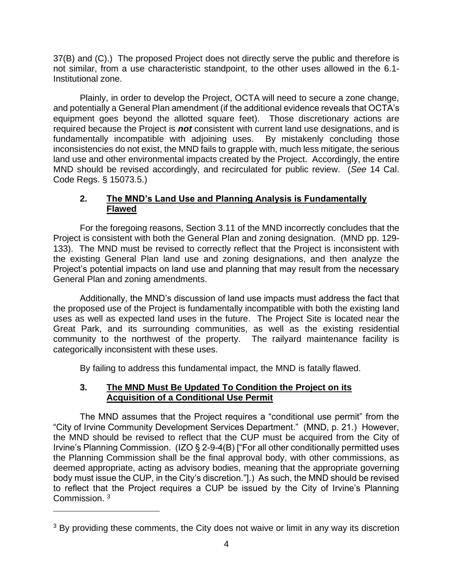37(B) and (C).) The proposed Project does not directly serve the public and therefore is not similar, from a use characteristic standpoint, to the other uses allowed in the 6.1- Institutional zone.

Plainly, in order to develop the Project, OCTA will need to secure a zone change, and potentially a General Plan amendment (if the additional evidence reveals that OCTA's equipment goes beyond the allotted square feet). Those discretionary actions are required because the Project is *not* consistent with current land use designations, and is fundamentally incompatible with adjoining uses. By mistakenly concluding those inconsistencies do not exist, the MND fails to grapple with, much less mitigate, the serious land use and other environmental impacts created by the Project. Accordingly, the entire MND should be revised accordingly, and recirculated for public review. (*See* 14 Cal. Code Regs. § 15073.5.)

# **2. The MND's Land Use and Planning Analysis is Fundamentally Flawed**

For the foregoing reasons, Section 3.11 of the MND incorrectly concludes that the Project is consistent with both the General Plan and zoning designation. (MND pp. 129- 133). The MND must be revised to correctly reflect that the Project is inconsistent with the existing General Plan land use and zoning designations, and then analyze the Project's potential impacts on land use and planning that may result from the necessary General Plan and zoning amendments.

Additionally, the MND's discussion of land use impacts must address the fact that the proposed use of the Project is fundamentally incompatible with both the existing land uses as well as expected land uses in the future. The Project Site is located near the Great Park, and its surrounding communities, as well as the existing residential community to the northwest of the property. The railyard maintenance facility is categorically inconsistent with these uses.

By failing to address this fundamental impact, the MND is fatally flawed.

# **3. The MND Must Be Updated To Condition the Project on its Acquisition of a Conditional Use Permit**

The MND assumes that the Project requires a "conditional use permit" from the "City of Irvine Community Development Services Department." (MND, p. 21.) However, the MND should be revised to reflect that the CUP must be acquired from the City of Irvine's Planning Commission. (IZO § 2-9-4(B) ["For all other conditionally permitted uses the Planning Commission shall be the final approval body, with other commissions, as deemed appropriate, acting as advisory bodies, meaning that the appropriate governing body must issue the CUP, in the City's discretion."].) As such, the MND should be revised to reflect that the Project requires a CUP be issued by the City of Irvine's Planning Commission.<sup>3</sup>

<sup>&</sup>lt;sup>3</sup> By providing these comments, the City does not waive or limit in any way its discretion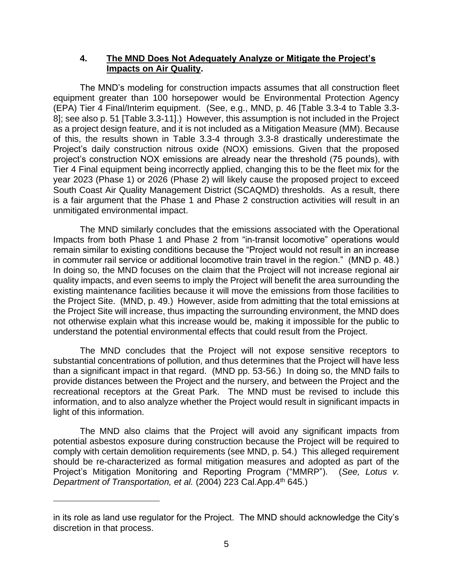## **4. The MND Does Not Adequately Analyze or Mitigate the Project's Impacts on Air Quality.**

The MND's modeling for construction impacts assumes that all construction fleet equipment greater than 100 horsepower would be Environmental Protection Agency (EPA) Tier 4 Final/Interim equipment. (See, e.g., MND, p. 46 [Table 3.3-4 to Table 3.3- 8]; see also p. 51 [Table 3.3-11].) However, this assumption is not included in the Project as a project design feature, and it is not included as a Mitigation Measure (MM). Because of this, the results shown in Table 3.3-4 through 3.3-8 drastically underestimate the Project's daily construction nitrous oxide (NOX) emissions. Given that the proposed project's construction NOX emissions are already near the threshold (75 pounds), with Tier 4 Final equipment being incorrectly applied, changing this to be the fleet mix for the year 2023 (Phase 1) or 2026 (Phase 2) will likely cause the proposed project to exceed South Coast Air Quality Management District (SCAQMD) thresholds. As a result, there is a fair argument that the Phase 1 and Phase 2 construction activities will result in an unmitigated environmental impact.

The MND similarly concludes that the emissions associated with the Operational Impacts from both Phase 1 and Phase 2 from "in-transit locomotive" operations would remain similar to existing conditions because the "Project would not result in an increase in commuter rail service or additional locomotive train travel in the region." (MND p. 48.) In doing so, the MND focuses on the claim that the Project will not increase regional air quality impacts, and even seems to imply the Project will benefit the area surrounding the existing maintenance facilities because it will move the emissions from those facilities to the Project Site. (MND, p. 49.) However, aside from admitting that the total emissions at the Project Site will increase, thus impacting the surrounding environment, the MND does not otherwise explain what this increase would be, making it impossible for the public to understand the potential environmental effects that could result from the Project.

The MND concludes that the Project will not expose sensitive receptors to substantial concentrations of pollution, and thus determines that the Project will have less than a significant impact in that regard. (MND pp. 53-56.) In doing so, the MND fails to provide distances between the Project and the nursery, and between the Project and the recreational receptors at the Great Park. The MND must be revised to include this information, and to also analyze whether the Project would result in significant impacts in light of this information.

The MND also claims that the Project will avoid any significant impacts from potential asbestos exposure during construction because the Project will be required to comply with certain demolition requirements (see MND, p. 54.) This alleged requirement should be re-characterized as formal mitigation measures and adopted as part of the Project's Mitigation Monitoring and Reporting Program ("MMRP"). (*See, Lotus v. Department of Transportation, et al.* (2004) 223 Cal.App.4th 645.)

in its role as land use regulator for the Project. The MND should acknowledge the City's discretion in that process.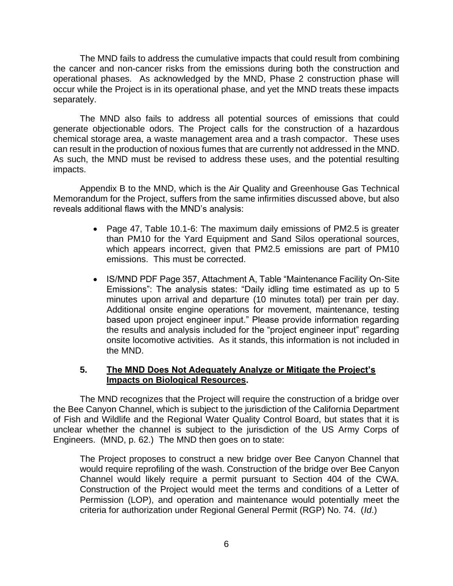The MND fails to address the cumulative impacts that could result from combining the cancer and non-cancer risks from the emissions during both the construction and operational phases. As acknowledged by the MND, Phase 2 construction phase will occur while the Project is in its operational phase, and yet the MND treats these impacts separately.

The MND also fails to address all potential sources of emissions that could generate objectionable odors. The Project calls for the construction of a hazardous chemical storage area, a waste management area and a trash compactor. These uses can result in the production of noxious fumes that are currently not addressed in the MND. As such, the MND must be revised to address these uses, and the potential resulting impacts.

Appendix B to the MND, which is the Air Quality and Greenhouse Gas Technical Memorandum for the Project, suffers from the same infirmities discussed above, but also reveals additional flaws with the MND's analysis:

- Page 47, Table 10.1-6: The maximum daily emissions of PM2.5 is greater than PM10 for the Yard Equipment and Sand Silos operational sources, which appears incorrect, given that PM2.5 emissions are part of PM10 emissions. This must be corrected.
- IS/MND PDF Page 357, Attachment A, Table "Maintenance Facility On-Site Emissions": The analysis states: "Daily idling time estimated as up to 5 minutes upon arrival and departure (10 minutes total) per train per day. Additional onsite engine operations for movement, maintenance, testing based upon project engineer input." Please provide information regarding the results and analysis included for the "project engineer input" regarding onsite locomotive activities. As it stands, this information is not included in the MND.

# **5. The MND Does Not Adequately Analyze or Mitigate the Project's Impacts on Biological Resources.**

The MND recognizes that the Project will require the construction of a bridge over the Bee Canyon Channel, which is subject to the jurisdiction of the California Department of Fish and Wildlife and the Regional Water Quality Control Board, but states that it is unclear whether the channel is subject to the jurisdiction of the US Army Corps of Engineers. (MND, p. 62.) The MND then goes on to state:

The Project proposes to construct a new bridge over Bee Canyon Channel that would require reprofiling of the wash. Construction of the bridge over Bee Canyon Channel would likely require a permit pursuant to Section 404 of the CWA. Construction of the Project would meet the terms and conditions of a Letter of Permission (LOP), and operation and maintenance would potentially meet the criteria for authorization under Regional General Permit (RGP) No. 74. (*Id*.)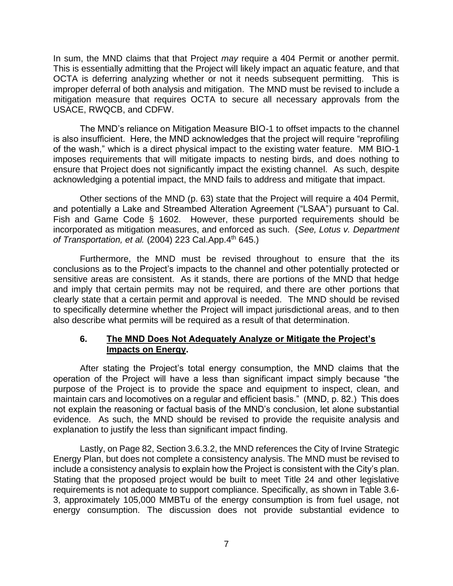In sum, the MND claims that that Project *may* require a 404 Permit or another permit. This is essentially admitting that the Project will likely impact an aquatic feature, and that OCTA is deferring analyzing whether or not it needs subsequent permitting. This is improper deferral of both analysis and mitigation. The MND must be revised to include a mitigation measure that requires OCTA to secure all necessary approvals from the USACE, RWQCB, and CDFW.

The MND's reliance on Mitigation Measure BIO-1 to offset impacts to the channel is also insufficient. Here, the MND acknowledges that the project will require "reprofiling of the wash," which is a direct physical impact to the existing water feature. MM BIO-1 imposes requirements that will mitigate impacts to nesting birds, and does nothing to ensure that Project does not significantly impact the existing channel. As such, despite acknowledging a potential impact, the MND fails to address and mitigate that impact.

Other sections of the MND (p. 63) state that the Project will require a 404 Permit, and potentially a Lake and Streambed Alteration Agreement ("LSAA") pursuant to Cal. Fish and Game Code § 1602. However, these purported requirements should be incorporated as mitigation measures, and enforced as such. (*See, Lotus v. Department of Transportation, et al.* (2004) 223 Cal.App.4th 645.)

Furthermore, the MND must be revised throughout to ensure that the its conclusions as to the Project's impacts to the channel and other potentially protected or sensitive areas are consistent. As it stands, there are portions of the MND that hedge and imply that certain permits may not be required, and there are other portions that clearly state that a certain permit and approval is needed. The MND should be revised to specifically determine whether the Project will impact jurisdictional areas, and to then also describe what permits will be required as a result of that determination.

# **6. The MND Does Not Adequately Analyze or Mitigate the Project's Impacts on Energy.**

After stating the Project's total energy consumption, the MND claims that the operation of the Project will have a less than significant impact simply because "the purpose of the Project is to provide the space and equipment to inspect, clean, and maintain cars and locomotives on a regular and efficient basis." (MND, p. 82.) This does not explain the reasoning or factual basis of the MND's conclusion, let alone substantial evidence. As such, the MND should be revised to provide the requisite analysis and explanation to justify the less than significant impact finding.

Lastly, on Page 82, Section 3.6.3.2, the MND references the City of Irvine Strategic Energy Plan, but does not complete a consistency analysis. The MND must be revised to include a consistency analysis to explain how the Project is consistent with the City's plan. Stating that the proposed project would be built to meet Title 24 and other legislative requirements is not adequate to support compliance. Specifically, as shown in Table 3.6- 3, approximately 105,000 MMBTu of the energy consumption is from fuel usage, not energy consumption. The discussion does not provide substantial evidence to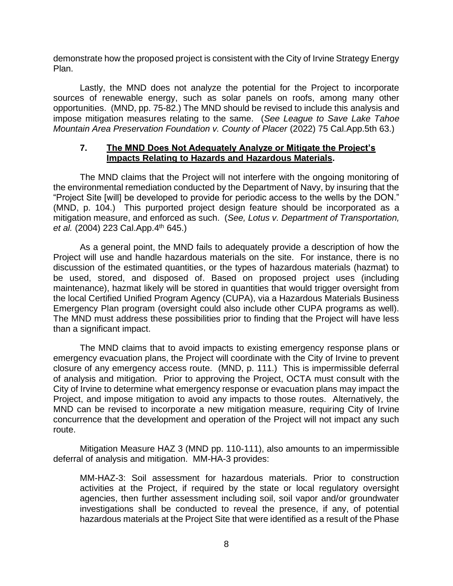demonstrate how the proposed project is consistent with the City of Irvine Strategy Energy Plan.

Lastly, the MND does not analyze the potential for the Project to incorporate sources of renewable energy, such as solar panels on roofs, among many other opportunities. (MND, pp. 75-82.) The MND should be revised to include this analysis and impose mitigation measures relating to the same. (*See League to Save Lake Tahoe Mountain Area Preservation Foundation v. County of Placer* (2022) 75 Cal.App.5th 63.)

#### **7. The MND Does Not Adequately Analyze or Mitigate the Project's Impacts Relating to Hazards and Hazardous Materials.**

The MND claims that the Project will not interfere with the ongoing monitoring of the environmental remediation conducted by the Department of Navy, by insuring that the "Project Site [will] be developed to provide for periodic access to the wells by the DON." (MND, p. 104.) This purported project design feature should be incorporated as a mitigation measure, and enforced as such. (*See, Lotus v. Department of Transportation, et al.* (2004) 223 Cal.App.4th 645.)

As a general point, the MND fails to adequately provide a description of how the Project will use and handle hazardous materials on the site. For instance, there is no discussion of the estimated quantities, or the types of hazardous materials (hazmat) to be used, stored, and disposed of. Based on proposed project uses (including maintenance), hazmat likely will be stored in quantities that would trigger oversight from the local Certified Unified Program Agency (CUPA), via a Hazardous Materials Business Emergency Plan program (oversight could also include other CUPA programs as well). The MND must address these possibilities prior to finding that the Project will have less than a significant impact.

The MND claims that to avoid impacts to existing emergency response plans or emergency evacuation plans, the Project will coordinate with the City of Irvine to prevent closure of any emergency access route. (MND, p. 111.) This is impermissible deferral of analysis and mitigation. Prior to approving the Project, OCTA must consult with the City of Irvine to determine what emergency response or evacuation plans may impact the Project, and impose mitigation to avoid any impacts to those routes. Alternatively, the MND can be revised to incorporate a new mitigation measure, requiring City of Irvine concurrence that the development and operation of the Project will not impact any such route.

Mitigation Measure HAZ 3 (MND pp. 110-111), also amounts to an impermissible deferral of analysis and mitigation. MM-HA-3 provides:

MM-HAZ-3: Soil assessment for hazardous materials. Prior to construction activities at the Project, if required by the state or local regulatory oversight agencies, then further assessment including soil, soil vapor and/or groundwater investigations shall be conducted to reveal the presence, if any, of potential hazardous materials at the Project Site that were identified as a result of the Phase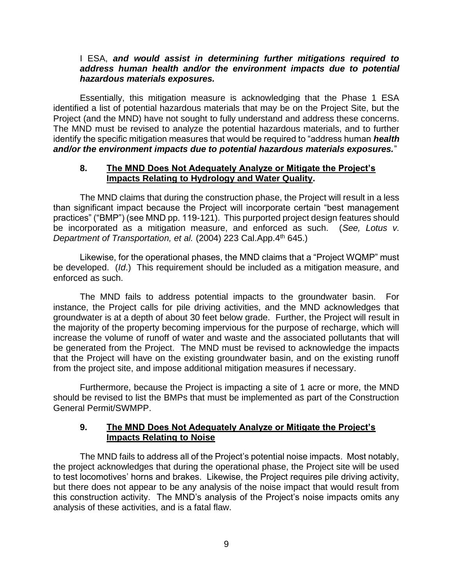#### I ESA, *and would assist in determining further mitigations required to address human health and/or the environment impacts due to potential hazardous materials exposures.*

Essentially, this mitigation measure is acknowledging that the Phase 1 ESA identified a list of potential hazardous materials that may be on the Project Site, but the Project (and the MND) have not sought to fully understand and address these concerns. The MND must be revised to analyze the potential hazardous materials, and to further identify the specific mitigation measures that would be required to "address human *health and/or the environment impacts due to potential hazardous materials exposures.*"

#### **8. The MND Does Not Adequately Analyze or Mitigate the Project's Impacts Relating to Hydrology and Water Quality.**

The MND claims that during the construction phase, the Project will result in a less than significant impact because the Project will incorporate certain "best management practices" ("BMP") (see MND pp. 119-121). This purported project design features should be incorporated as a mitigation measure, and enforced as such. (*See, Lotus v. Department of Transportation, et al.* (2004) 223 Cal.App.4th 645.)

Likewise, for the operational phases, the MND claims that a "Project WQMP" must be developed. (*Id*.) This requirement should be included as a mitigation measure, and enforced as such.

The MND fails to address potential impacts to the groundwater basin. For instance, the Project calls for pile driving activities, and the MND acknowledges that groundwater is at a depth of about 30 feet below grade. Further, the Project will result in the majority of the property becoming impervious for the purpose of recharge, which will increase the volume of runoff of water and waste and the associated pollutants that will be generated from the Project. The MND must be revised to acknowledge the impacts that the Project will have on the existing groundwater basin, and on the existing runoff from the project site, and impose additional mitigation measures if necessary.

Furthermore, because the Project is impacting a site of 1 acre or more, the MND should be revised to list the BMPs that must be implemented as part of the Construction General Permit/SWMPP.

### **9. The MND Does Not Adequately Analyze or Mitigate the Project's Impacts Relating to Noise**

The MND fails to address all of the Project's potential noise impacts. Most notably, the project acknowledges that during the operational phase, the Project site will be used to test locomotives' horns and brakes. Likewise, the Project requires pile driving activity, but there does not appear to be any analysis of the noise impact that would result from this construction activity. The MND's analysis of the Project's noise impacts omits any analysis of these activities, and is a fatal flaw.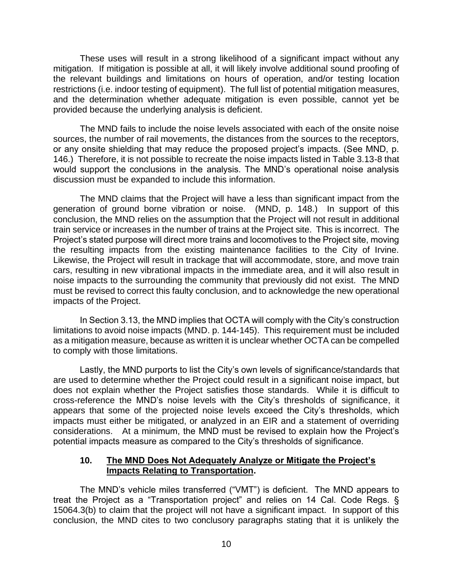These uses will result in a strong likelihood of a significant impact without any mitigation. If mitigation is possible at all, it will likely involve additional sound proofing of the relevant buildings and limitations on hours of operation, and/or testing location restrictions (i.e. indoor testing of equipment). The full list of potential mitigation measures, and the determination whether adequate mitigation is even possible, cannot yet be provided because the underlying analysis is deficient.

The MND fails to include the noise levels associated with each of the onsite noise sources, the number of rail movements, the distances from the sources to the receptors, or any onsite shielding that may reduce the proposed project's impacts. (See MND, p. 146.) Therefore, it is not possible to recreate the noise impacts listed in Table 3.13-8 that would support the conclusions in the analysis. The MND's operational noise analysis discussion must be expanded to include this information.

The MND claims that the Project will have a less than significant impact from the generation of ground borne vibration or noise. (MND, p. 148.) In support of this conclusion, the MND relies on the assumption that the Project will not result in additional train service or increases in the number of trains at the Project site. This is incorrect. The Project's stated purpose will direct more trains and locomotives to the Project site, moving the resulting impacts from the existing maintenance facilities to the City of Irvine. Likewise, the Project will result in trackage that will accommodate, store, and move train cars, resulting in new vibrational impacts in the immediate area, and it will also result in noise impacts to the surrounding the community that previously did not exist. The MND must be revised to correct this faulty conclusion, and to acknowledge the new operational impacts of the Project.

In Section 3.13, the MND implies that OCTA will comply with the City's construction limitations to avoid noise impacts (MND. p. 144-145). This requirement must be included as a mitigation measure, because as written it is unclear whether OCTA can be compelled to comply with those limitations.

Lastly, the MND purports to list the City's own levels of significance/standards that are used to determine whether the Project could result in a significant noise impact, but does not explain whether the Project satisfies those standards. While it is difficult to cross-reference the MND's noise levels with the City's thresholds of significance, it appears that some of the projected noise levels exceed the City's thresholds, which impacts must either be mitigated, or analyzed in an EIR and a statement of overriding considerations. At a minimum, the MND must be revised to explain how the Project's potential impacts measure as compared to the City's thresholds of significance.

### **10. The MND Does Not Adequately Analyze or Mitigate the Project's Impacts Relating to Transportation.**

The MND's vehicle miles transferred ("VMT") is deficient. The MND appears to treat the Project as a "Transportation project" and relies on 14 Cal. Code Regs. § 15064.3(b) to claim that the project will not have a significant impact. In support of this conclusion, the MND cites to two conclusory paragraphs stating that it is unlikely the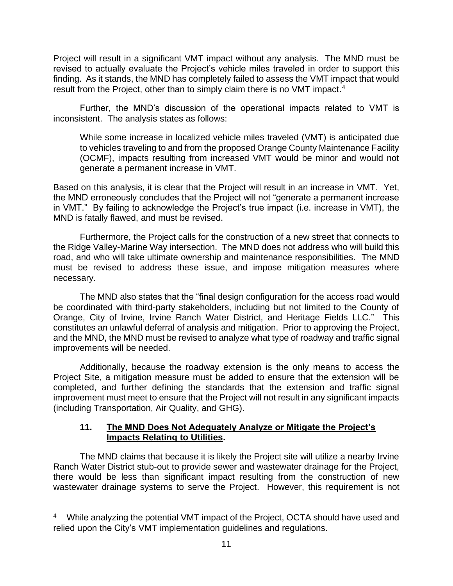Project will result in a significant VMT impact without any analysis. The MND must be revised to actually evaluate the Project's vehicle miles traveled in order to support this finding. As it stands, the MND has completely failed to assess the VMT impact that would result from the Project, other than to simply claim there is no VMT impact.<sup>4</sup>

Further, the MND's discussion of the operational impacts related to VMT is inconsistent. The analysis states as follows:

While some increase in localized vehicle miles traveled (VMT) is anticipated due to vehicles traveling to and from the proposed Orange County Maintenance Facility (OCMF), impacts resulting from increased VMT would be minor and would not generate a permanent increase in VMT.

Based on this analysis, it is clear that the Project will result in an increase in VMT. Yet, the MND erroneously concludes that the Project will not "generate a permanent increase in VMT." By failing to acknowledge the Project's true impact (i.e. increase in VMT), the MND is fatally flawed, and must be revised.

Furthermore, the Project calls for the construction of a new street that connects to the Ridge Valley-Marine Way intersection. The MND does not address who will build this road, and who will take ultimate ownership and maintenance responsibilities. The MND must be revised to address these issue, and impose mitigation measures where necessary.

The MND also states that the "final design configuration for the access road would be coordinated with third-party stakeholders, including but not limited to the County of Orange, City of Irvine, Irvine Ranch Water District, and Heritage Fields LLC." This constitutes an unlawful deferral of analysis and mitigation. Prior to approving the Project, and the MND, the MND must be revised to analyze what type of roadway and traffic signal improvements will be needed.

Additionally, because the roadway extension is the only means to access the Project Site, a mitigation measure must be added to ensure that the extension will be completed, and further defining the standards that the extension and traffic signal improvement must meet to ensure that the Project will not result in any significant impacts (including Transportation, Air Quality, and GHG).

# **11. The MND Does Not Adequately Analyze or Mitigate the Project's Impacts Relating to Utilities.**

The MND claims that because it is likely the Project site will utilize a nearby Irvine Ranch Water District stub-out to provide sewer and wastewater drainage for the Project, there would be less than significant impact resulting from the construction of new wastewater drainage systems to serve the Project. However, this requirement is not

<sup>&</sup>lt;sup>4</sup> While analyzing the potential VMT impact of the Project, OCTA should have used and relied upon the City's VMT implementation guidelines and regulations.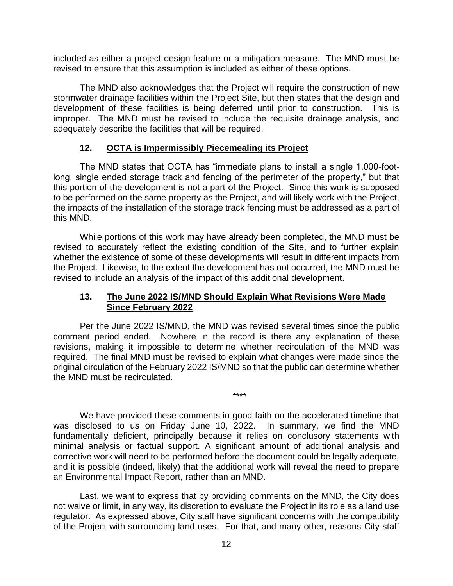included as either a project design feature or a mitigation measure. The MND must be revised to ensure that this assumption is included as either of these options.

The MND also acknowledges that the Project will require the construction of new stormwater drainage facilities within the Project Site, but then states that the design and development of these facilities is being deferred until prior to construction. This is improper. The MND must be revised to include the requisite drainage analysis, and adequately describe the facilities that will be required.

# **12. OCTA is Impermissibly Piecemealing its Project**

The MND states that OCTA has "immediate plans to install a single 1,000-footlong, single ended storage track and fencing of the perimeter of the property," but that this portion of the development is not a part of the Project. Since this work is supposed to be performed on the same property as the Project, and will likely work with the Project, the impacts of the installation of the storage track fencing must be addressed as a part of this MND.

While portions of this work may have already been completed, the MND must be revised to accurately reflect the existing condition of the Site, and to further explain whether the existence of some of these developments will result in different impacts from the Project. Likewise, to the extent the development has not occurred, the MND must be revised to include an analysis of the impact of this additional development.

### **13. The June 2022 IS/MND Should Explain What Revisions Were Made Since February 2022**

Per the June 2022 IS/MND, the MND was revised several times since the public comment period ended. Nowhere in the record is there any explanation of these revisions, making it impossible to determine whether recirculation of the MND was required. The final MND must be revised to explain what changes were made since the original circulation of the February 2022 IS/MND so that the public can determine whether the MND must be recirculated.

\*\*\*\*

We have provided these comments in good faith on the accelerated timeline that was disclosed to us on Friday June 10, 2022. In summary, we find the MND fundamentally deficient, principally because it relies on conclusory statements with minimal analysis or factual support. A significant amount of additional analysis and corrective work will need to be performed before the document could be legally adequate, and it is possible (indeed, likely) that the additional work will reveal the need to prepare an Environmental Impact Report, rather than an MND.

Last, we want to express that by providing comments on the MND, the City does not waive or limit, in any way, its discretion to evaluate the Project in its role as a land use regulator. As expressed above, City staff have significant concerns with the compatibility of the Project with surrounding land uses. For that, and many other, reasons City staff